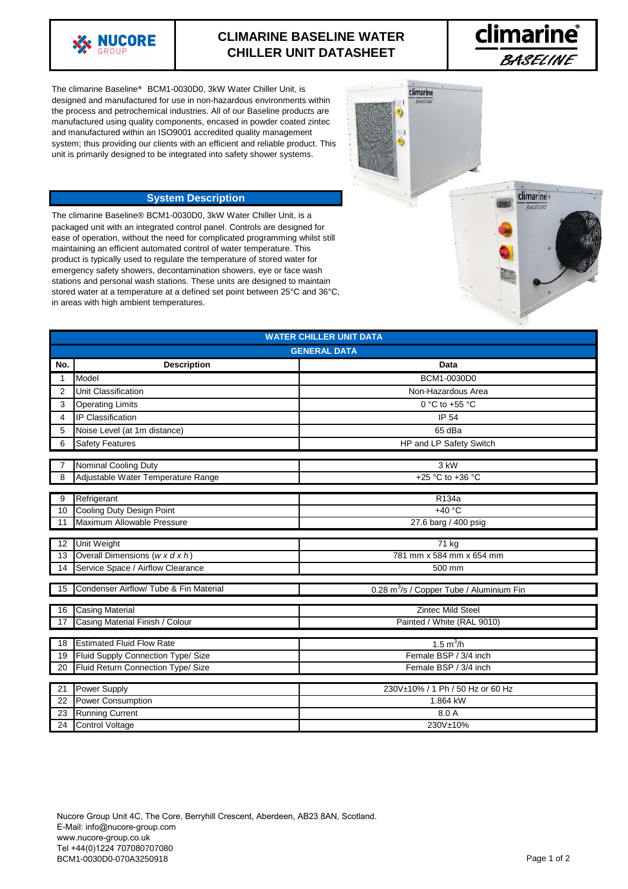

## **CLIMARINE BASELINE WATER CHILLER UNIT DATASHEET**



**climarine**® **PASELINE** 

climarine

The climarine Baseline® BCM1-0030D0, 3kW Water Chiller Unit, is designed and manufactured for use in non-hazardous environments within the process and petrochemical industries. All of our Baseline products are manufactured using quality components, encased in powder coated zintec and manufactured within an ISO9001 accredited quality management system; thus providing our clients with an efficient and reliable product. This unit is primarily designed to be integrated into safety shower systems.

## **System Description**

The climarine Baseline® BCM1-0030D0, 3kW Water Chiller Unit, is a packaged unit with an integrated control panel. Controls are designed for ease of operation, without the need for complicated programming whilst still maintaining an efficient automated control of water temperature. This product is typically used to regulate the temperature of stored water for emergency safety showers, decontamination showers, eye or face wash stations and personal wash stations. These units are designed to maintain stored water at a temperature at a defined set point between 25°C and 36°C, in areas with high ambient temperatures.

| <b>WATER CHILLER UNIT DATA</b> |                                            |                                                      |
|--------------------------------|--------------------------------------------|------------------------------------------------------|
| <b>GENERAL DATA</b>            |                                            |                                                      |
| No.                            | <b>Description</b>                         | Data                                                 |
| 1                              | Model                                      | BCM1-0030D0                                          |
| 2                              | Unit Classification                        | Non-Hazardous Area                                   |
| 3                              | <b>Operating Limits</b>                    | 0 °C to +55 °C                                       |
| 4                              | <b>IP Classification</b>                   | <b>IP 54</b>                                         |
| 5                              | Noise Level (at 1m distance)               | 65 dBa                                               |
| 6                              | <b>Safety Features</b>                     | HP and LP Safety Switch                              |
|                                |                                            |                                                      |
|                                | Nominal Cooling Duty                       | 3 kW                                                 |
| 8                              | Adjustable Water Temperature Range         | +25 °C to +36 °C                                     |
| 9                              | Refrigerant                                | R <sub>134</sub> a                                   |
| 10                             | Cooling Duty Design Point                  | $+40 °C$                                             |
| 11                             | Maximum Allowable Pressure                 | 27.6 barg / 400 psig                                 |
|                                |                                            |                                                      |
| 12                             | Unit Weight                                | 71 kg                                                |
| 13                             | Overall Dimensions $(w \times d \times h)$ | 781 mm x 584 mm x 654 mm                             |
| 14                             | Service Space / Airflow Clearance          | 500 mm                                               |
|                                |                                            |                                                      |
| 15                             | Condenser Airflow/ Tube & Fin Material     | 0.28 m <sup>3</sup> /s / Copper Tube / Aluminium Fin |
| 16                             | <b>Casing Material</b>                     | <b>Zintec Mild Steel</b>                             |
| 17                             | Casing Material Finish / Colour            | Painted / White (RAL 9010)                           |
|                                |                                            |                                                      |
| $\overline{18}$                | <b>Estimated Fluid Flow Rate</b>           | 1.5 $m^3/h$                                          |
| 19                             | Fluid Supply Connection Type/ Size         | Female BSP / 3/4 inch                                |
| 20                             | Fluid Return Connection Type/ Size         | Female BSP / 3/4 inch                                |
|                                |                                            |                                                      |
| 21                             | <b>Power Supply</b>                        | 230V±10% / 1 Ph / 50 Hz or 60 Hz                     |
| 22                             | <b>Power Consumption</b>                   | 1.864 kW                                             |
| 23                             | <b>Running Current</b>                     | 8.0 A                                                |
| 24                             | <b>Control Voltage</b>                     | 230V±10%                                             |